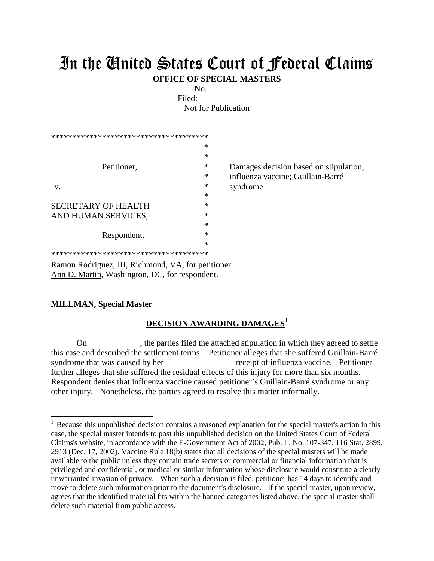## In the United States Court of Federal Claims

**OFFICE OF SPECIAL MASTERS**

No.

Filed: Not for Publication

| ************************************** |   |                                        |
|----------------------------------------|---|----------------------------------------|
|                                        | ∗ |                                        |
|                                        | ∗ |                                        |
| Petitioner,                            | * | Damages decision based on stipulation; |
|                                        | ∗ | influenza vaccine; Guillain-Barré      |
| V.                                     | * | syndrome                               |
|                                        | ∗ |                                        |
| <b>SECRETARY OF HEALTH</b>             | ∗ |                                        |
| AND HUMAN SERVICES,                    | ∗ |                                        |
|                                        | ∗ |                                        |
| Respondent.                            | ∗ |                                        |
|                                        | ∗ |                                        |
| ************************************** |   |                                        |

Ramon Rodriguez, III, Richmond, VA, for petitioner. Ann D. Martin, Washington, DC, for respondent.

## **MILLMAN, Special Master**

 $\overline{a}$ 

## **DECISION AWARDING DAMAGES<sup>1</sup>**

On , the parties filed the attached stipulation in which they agreed to settle this case and described the settlement terms. Petitioner alleges that she suffered Guillain-Barré syndrome that was caused by her receipt of influenza vaccine. Petitioner further alleges that she suffered the residual effects of this injury for more than six months. Respondent denies that influenza vaccine caused petitioner's Guillain-Barré syndrome or any other injury. Nonetheless, the parties agreed to resolve this matter informally.

<sup>&</sup>lt;sup>1</sup> Because this unpublished decision contains a reasoned explanation for the special master's action in this case, the special master intends to post this unpublished decision on the United States Court of Federal Claims's website, in accordance with the E-Government Act of 2002, Pub. L. No. 107-347, 116 Stat. 2899, 2913 (Dec. 17, 2002). Vaccine Rule 18(b) states that all decisions of the special masters will be made available to the public unless they contain trade secrets or commercial or financial information that is privileged and confidential, or medical or similar information whose disclosure would constitute a clearly unwarranted invasion of privacy. When such a decision is filed, petitioner has 14 days to identify and move to delete such information prior to the document's disclosure. If the special master, upon review, agrees that the identified material fits within the banned categories listed above, the special master shall delete such material from public access.